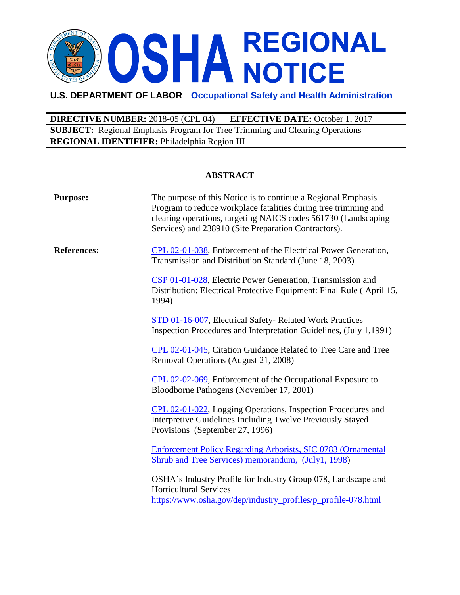# OSHA REGIONAL

# **U.S. DEPARTMENT OF LABOR Occupational Safety and Health Administration**

**DIRECTIVE NUMBER:** 2018-05 (CPL 04) **EFFECTIVE DATE:** October 1, 2017 **SUBJECT:** Regional Emphasis Program for Tree Trimming and Clearing Operations **REGIONAL IDENTIFIER:** Philadelphia Region III

### **ABSTRACT**

| <b>Purpose:</b>    | The purpose of this Notice is to continue a Regional Emphasis<br>Program to reduce workplace fatalities during tree trimming and<br>clearing operations, targeting NAICS codes 561730 (Landscaping<br>Services) and 238910 (Site Preparation Contractors). |
|--------------------|------------------------------------------------------------------------------------------------------------------------------------------------------------------------------------------------------------------------------------------------------------|
| <b>References:</b> | CPL 02-01-038, Enforcement of the Electrical Power Generation,<br>Transmission and Distribution Standard (June 18, 2003)                                                                                                                                   |
|                    | CSP 01-01-028, Electric Power Generation, Transmission and<br>Distribution: Electrical Protective Equipment: Final Rule (April 15,<br>1994)                                                                                                                |
|                    | STD 01-16-007, Electrical Safety-Related Work Practices-<br>Inspection Procedures and Interpretation Guidelines, (July 1,1991)                                                                                                                             |
|                    | CPL 02-01-045, Citation Guidance Related to Tree Care and Tree<br>Removal Operations (August 21, 2008)                                                                                                                                                     |
|                    | CPL 02-02-069, Enforcement of the Occupational Exposure to<br>Bloodborne Pathogens (November 17, 2001)                                                                                                                                                     |
|                    | CPL 02-01-022, Logging Operations, Inspection Procedures and<br>Interpretive Guidelines Including Twelve Previously Stayed<br>Provisions (September 27, 1996)                                                                                              |
|                    | <b>Enforcement Policy Regarding Arborists, SIC 0783 (Ornamental</b><br>Shrub and Tree Services) memorandum, (July1, 1998)                                                                                                                                  |
|                    | OSHA's Industry Profile for Industry Group 078, Landscape and<br><b>Horticultural Services</b><br>https://www.osha.gov/dep/industry_profiles/p_profile-078.html                                                                                            |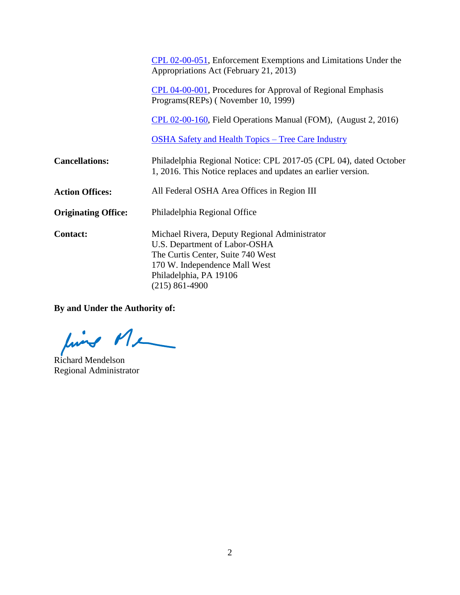|                            | CPL 02-00-051, Enforcement Exemptions and Limitations Under the<br>Appropriations Act (February 21, 2013)                                                                                            |
|----------------------------|------------------------------------------------------------------------------------------------------------------------------------------------------------------------------------------------------|
|                            | CPL 04-00-001, Procedures for Approval of Regional Emphasis<br>Programs(REPs) (November 10, 1999)                                                                                                    |
|                            | CPL 02-00-160, Field Operations Manual (FOM), (August 2, 2016)                                                                                                                                       |
|                            | <b>OSHA Safety and Health Topics – Tree Care Industry</b>                                                                                                                                            |
| <b>Cancellations:</b>      | Philadelphia Regional Notice: CPL 2017-05 (CPL 04), dated October<br>1, 2016. This Notice replaces and updates an earlier version.                                                                   |
| <b>Action Offices:</b>     | All Federal OSHA Area Offices in Region III                                                                                                                                                          |
| <b>Originating Office:</b> | Philadelphia Regional Office                                                                                                                                                                         |
| <b>Contact:</b>            | Michael Rivera, Deputy Regional Administrator<br>U.S. Department of Labor-OSHA<br>The Curtis Center, Suite 740 West<br>170 W. Independence Mall West<br>Philadelphia, PA 19106<br>$(215) 861 - 4900$ |

**By and Under the Authority of:**

find Me

Richard Mendelson Regional Administrator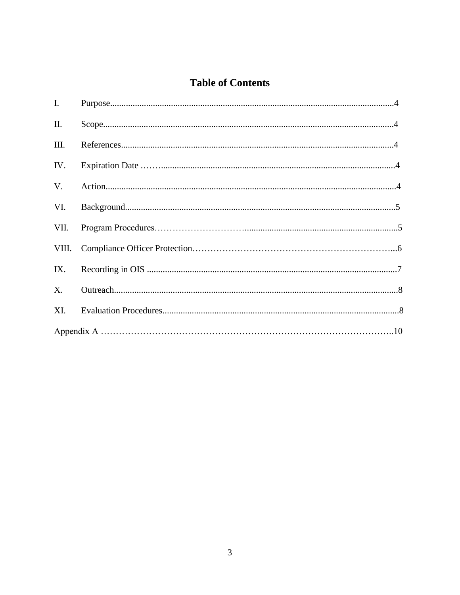# **Table of Contents**

| $\mathbf{I}$ . |  |
|----------------|--|
| II.            |  |
| III.           |  |
| IV.            |  |
| V.             |  |
| VI.            |  |
| VII.           |  |
|                |  |
| IX.            |  |
| $X_{\cdot}$    |  |
| XI.            |  |
|                |  |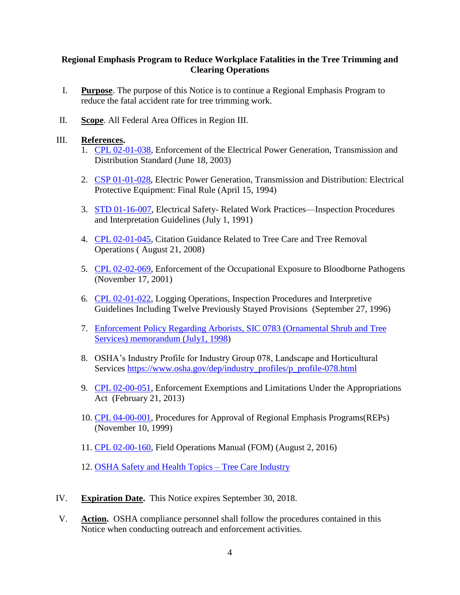### **Regional Emphasis Program to Reduce Workplace Fatalities in the Tree Trimming and Clearing Operations**

- I. **Purpose**. The purpose of this Notice is to continue a Regional Emphasis Program to reduce the fatal accident rate for tree trimming work.
- II. **Scope**. All Federal Area Offices in Region III.

#### III. **References.**

- 1. [CPL 02-01-038,](https://www.osha.gov/pls/oshaweb/owadisp.show_document?p_table=DIRECTIVES&p_id=2913) Enforcement of the Electrical Power Generation, Transmission and Distribution Standard (June 18, 2003)
- 2. [CSP 01-01-028,](https://www.osha.gov/pls/oshaweb/owadisp.show_document?p_table=DIRECTIVES&p_id=1846) Electric Power Generation, Transmission and Distribution: Electrical Protective Equipment: Final Rule (April 15, 1994)
- 3. [STD 01-16-007,](https://www.osha.gov/pls/oshaweb/owadisp.show_document?p_table=DIRECTIVES&p_id=1750) Electrical Safety- Related Work Practices—Inspection Procedures and Interpretation Guidelines (July 1, 1991)
- 4. [CPL 02-01-045,](https://www.osha.gov/pls/oshaweb/owadisp.show_document?p_table=DIRECTIVES&p_id=4034) Citation Guidance Related to Tree Care and Tree Removal Operations ( August 21, 2008)
- 5. [CPL 02-02-069,](https://www.osha.gov/pls/oshaweb/owadisp.show_document?p_table=DIRECTIVES&p_id=2570) Enforcement of the Occupational Exposure to Bloodborne Pathogens (November 17, 2001)
- 6. [CPL 02-01-022,](https://www.osha.gov/pls/oshaweb/owadisp.show_document?p_table=DIRECTIVES&p_id=1527) Logging Operations, Inspection Procedures and Interpretive Guidelines Including Twelve Previously Stayed Provisions (September 27, 1996)
- 7. [Enforcement Policy Regarding Arborists, SIC 0783 \(Ornamental Shrub](https://www.osha.gov/pls/oshaweb/owadisp.show_document?p_table=INTERPRETATIONS&p_id=25041) and Tree [Services\) memorandum \(July1, 1998\)](https://www.osha.gov/pls/oshaweb/owadisp.show_document?p_table=INTERPRETATIONS&p_id=25041)
- 8. OSHA's Industry Profile for Industry Group 078, Landscape and Horticultural Services [https://www.osha.gov/dep/industry\\_profiles/p\\_profile-078.html](https://www.osha.gov/dep/industry_profiles/p_profile-078.html)
- 9. [CPL 02-00-051,](https://www.osha.gov/pls/oshaweb/owadisp.show_document?p_table=DIRECTIVES&p_id=1519) Enforcement Exemptions and Limitations Under the Appropriations Act (February 21, 2013)
- 10. [CPL 04-00-001,](../AppData/Local/Microsoft/Windows/Temporary%20Internet%20Files/Content.Outlook/AppData/Local/Microsoft/Windows/Temporary%20Internet%20Files/tcarle/AppData/Local/Microsoft/Windows/Temporary%20Internet%20Files/Content.Outlook/AppData/Local/Microsoft/Windows/Temporary%20Internet%20Files/AppData/Local/Microsoft/Windows/Temporary%20Internet%20Files/Content.Outlook/AppData/Local/Microsoft/Windows/Temporary%20Internet%20Files/tcarle/AppData/Local/Microsoft/Windows/Temporary%20Internet%20Files/Content.Outlook/AppData/Local/Microsoft/Windows/Temporary%20Internet%20Files/Content.Outlook/AppData/Roaming/Microsoft/Word/CPL%2004-00-001) Procedures for Approval of Regional Emphasis Programs(REPs) (November 10, 1999)
- 11. [CPL 02-00-160,](https://www.osha.gov/OshDoc/Directive_pdf/CPL_02-00-160.pdf) Field Operations Manual (FOM) (August 2, 2016)
- 12. [OSHA Safety and Health Topics –](https://www.osha.gov/SLTC/treecare/index.html) Tree Care Industry
- IV. **Expiration Date.** This Notice expires September 30, 2018.
- V. **Action.** OSHA compliance personnel shall follow the procedures contained in this Notice when conducting outreach and enforcement activities.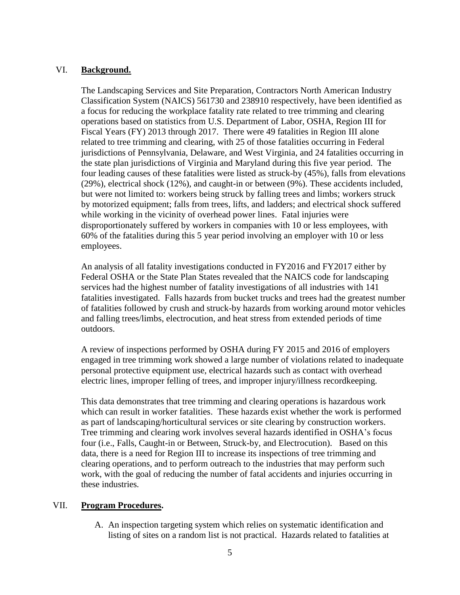#### VI. **Background.**

The Landscaping Services and Site Preparation, Contractors North American Industry Classification System (NAICS) 561730 and 238910 respectively, have been identified as a focus for reducing the workplace fatality rate related to tree trimming and clearing operations based on statistics from U.S. Department of Labor, OSHA, Region III for Fiscal Years (FY) 2013 through 2017. There were 49 fatalities in Region III alone related to tree trimming and clearing, with 25 of those fatalities occurring in Federal jurisdictions of Pennsylvania, Delaware, and West Virginia, and 24 fatalities occurring in the state plan jurisdictions of Virginia and Maryland during this five year period. The four leading causes of these fatalities were listed as struck-by (45%), falls from elevations (29%), electrical shock (12%), and caught-in or between (9%). These accidents included, but were not limited to: workers being struck by falling trees and limbs; workers struck by motorized equipment; falls from trees, lifts, and ladders; and electrical shock suffered while working in the vicinity of overhead power lines. Fatal injuries were disproportionately suffered by workers in companies with 10 or less employees, with 60% of the fatalities during this 5 year period involving an employer with 10 or less employees.

An analysis of all fatality investigations conducted in FY2016 and FY2017 either by Federal OSHA or the State Plan States revealed that the NAICS code for landscaping services had the highest number of fatality investigations of all industries with 141 fatalities investigated. Falls hazards from bucket trucks and trees had the greatest number of fatalities followed by crush and struck-by hazards from working around motor vehicles and falling trees/limbs, electrocution, and heat stress from extended periods of time outdoors.

A review of inspections performed by OSHA during FY 2015 and 2016 of employers engaged in tree trimming work showed a large number of violations related to inadequate personal protective equipment use, electrical hazards such as contact with overhead electric lines, improper felling of trees, and improper injury/illness recordkeeping.

This data demonstrates that tree trimming and clearing operations is hazardous work which can result in worker fatalities. These hazards exist whether the work is performed as part of landscaping/horticultural services or site clearing by construction workers. Tree trimming and clearing work involves several hazards identified in OSHA's focus four (i.e., Falls, Caught-in or Between, Struck-by, and Electrocution). Based on this data, there is a need for Region III to increase its inspections of tree trimming and clearing operations, and to perform outreach to the industries that may perform such work, with the goal of reducing the number of fatal accidents and injuries occurring in these industries*.* 

#### VII. **Program Procedures.**

A. An inspection targeting system which relies on systematic identification and listing of sites on a random list is not practical. Hazards related to fatalities at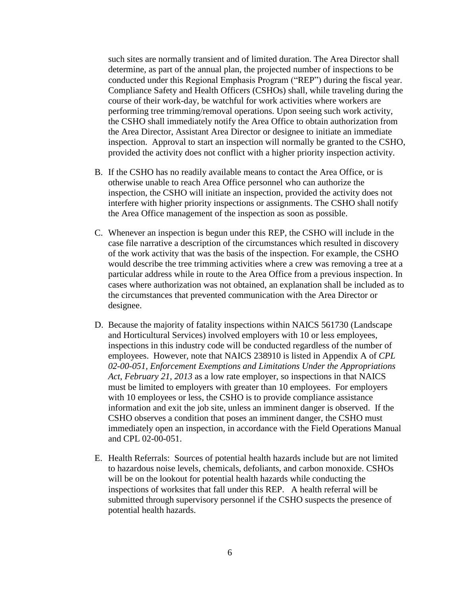such sites are normally transient and of limited duration. The Area Director shall determine, as part of the annual plan, the projected number of inspections to be conducted under this Regional Emphasis Program ("REP") during the fiscal year. Compliance Safety and Health Officers (CSHOs) shall, while traveling during the course of their work-day, be watchful for work activities where workers are performing tree trimming/removal operations. Upon seeing such work activity, the CSHO shall immediately notify the Area Office to obtain authorization from the Area Director, Assistant Area Director or designee to initiate an immediate inspection. Approval to start an inspection will normally be granted to the CSHO, provided the activity does not conflict with a higher priority inspection activity.

- B. If the CSHO has no readily available means to contact the Area Office, or is otherwise unable to reach Area Office personnel who can authorize the inspection, the CSHO will initiate an inspection, provided the activity does not interfere with higher priority inspections or assignments. The CSHO shall notify the Area Office management of the inspection as soon as possible.
- C. Whenever an inspection is begun under this REP, the CSHO will include in the case file narrative a description of the circumstances which resulted in discovery of the work activity that was the basis of the inspection. For example, the CSHO would describe the tree trimming activities where a crew was removing a tree at a particular address while in route to the Area Office from a previous inspection. In cases where authorization was not obtained, an explanation shall be included as to the circumstances that prevented communication with the Area Director or designee.
- D. Because the majority of fatality inspections within NAICS 561730 (Landscape and Horticultural Services) involved employers with 10 or less employees, inspections in this industry code will be conducted regardless of the number of employees. However, note that NAICS 238910 is listed in Appendix A of *[CPL](http://www.osha.gov/pls/oshaweb/owadisp.show_document?p_table=DIRECTIVES&p_id=1519)  [02-00-051, Enforcement Exemptions and Limitations Under the Appropriations](http://www.osha.gov/pls/oshaweb/owadisp.show_document?p_table=DIRECTIVES&p_id=1519) [Act](http://www.osha.gov/pls/oshaweb/owadisp.show_document?p_table=DIRECTIVES&p_id=1519)*, *February 21, 2013* as a low rate employer, so inspections in that NAICS must be limited to employers with greater than 10 employees. For employers with 10 employees or less, the CSHO is to provide compliance assistance information and exit the job site, unless an imminent danger is observed. If the CSHO observes a condition that poses an imminent danger, the CSHO must immediately open an inspection, in accordance with the Field Operations Manual and CPL 02-00-051.
- E. Health Referrals: Sources of potential health hazards include but are not limited to hazardous noise levels, chemicals, defoliants, and carbon monoxide. CSHOs will be on the lookout for potential health hazards while conducting the inspections of worksites that fall under this REP. A health referral will be submitted through supervisory personnel if the CSHO suspects the presence of potential health hazards.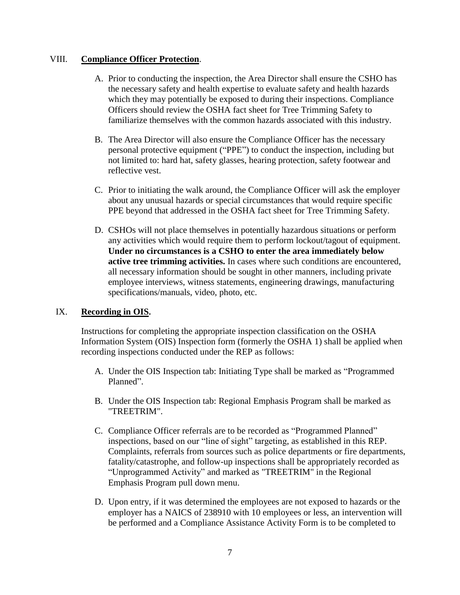#### VIII. **Compliance Officer Protection**.

- A. Prior to conducting the inspection, the Area Director shall ensure the CSHO has the necessary safety and health expertise to evaluate safety and health hazards which they may potentially be exposed to during their inspections. Compliance Officers should review the OSHA fact sheet for Tree Trimming Safety to familiarize themselves with the common hazards associated with this industry.
- B. The Area Director will also ensure the Compliance Officer has the necessary personal protective equipment ("PPE") to conduct the inspection, including but not limited to: hard hat, safety glasses, hearing protection, safety footwear and reflective vest.
- C. Prior to initiating the walk around, the Compliance Officer will ask the employer about any unusual hazards or special circumstances that would require specific PPE beyond that addressed in the OSHA fact sheet for Tree Trimming Safety.
- D. CSHOs will not place themselves in potentially hazardous situations or perform any activities which would require them to perform lockout/tagout of equipment. **Under no circumstances is a CSHO to enter the area immediately below active tree trimming activities.** In cases where such conditions are encountered, all necessary information should be sought in other manners, including private employee interviews, witness statements, engineering drawings, manufacturing specifications/manuals, video, photo, etc.

# IX. **Recording in OIS.**

Instructions for completing the appropriate inspection classification on the OSHA Information System (OIS) Inspection form (formerly the OSHA 1) shall be applied when recording inspections conducted under the REP as follows:

- A. Under the OIS Inspection tab: Initiating Type shall be marked as "Programmed Planned".
- B. Under the OIS Inspection tab: Regional Emphasis Program shall be marked as "TREETRIM".
- C. Compliance Officer referrals are to be recorded as "Programmed Planned" inspections, based on our "line of sight" targeting, as established in this REP. Complaints, referrals from sources such as police departments or fire departments, fatality/catastrophe, and follow-up inspections shall be appropriately recorded as "Unprogrammed Activity" and marked as "TREETRIM" in the Regional Emphasis Program pull down menu.
- D. Upon entry, if it was determined the employees are not exposed to hazards or the employer has a NAICS of 238910 with 10 employees or less, an intervention will be performed and a Compliance Assistance Activity Form is to be completed to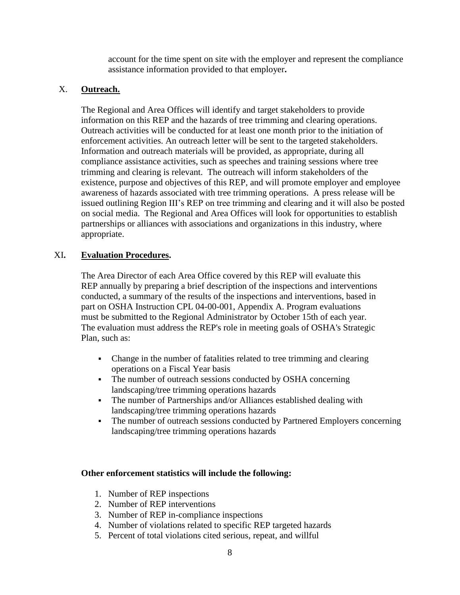account for the time spent on site with the employer and represent the compliance assistance information provided to that employer**.**

## X. **Outreach.**

The Regional and Area Offices will identify and target stakeholders to provide information on this REP and the hazards of tree trimming and clearing operations. Outreach activities will be conducted for at least one month prior to the initiation of enforcement activities. An outreach letter will be sent to the targeted stakeholders. Information and outreach materials will be provided, as appropriate, during all compliance assistance activities, such as speeches and training sessions where tree trimming and clearing is relevant. The outreach will inform stakeholders of the existence, purpose and objectives of this REP, and will promote employer and employee awareness of hazards associated with tree trimming operations. A press release will be issued outlining Region III's REP on tree trimming and clearing and it will also be posted on social media. The Regional and Area Offices will look for opportunities to establish partnerships or alliances with associations and organizations in this industry, where appropriate.

### XI**. Evaluation Procedures.**

The Area Director of each Area Office covered by this REP will evaluate this REP annually by preparing a brief description of the inspections and interventions conducted, a summary of the results of the inspections and interventions, based in part on OSHA Instruction CPL 04-00-001, Appendix A. Program evaluations must be submitted to the Regional Administrator by October 15th of each year. The evaluation must address the REP's role in meeting goals of OSHA's Strategic Plan, such as:

- Change in the number of fatalities related to tree trimming and clearing operations on a Fiscal Year basis
- The number of outreach sessions conducted by OSHA concerning landscaping/tree trimming operations hazards
- The number of Partnerships and/or Alliances established dealing with landscaping/tree trimming operations hazards
- The number of outreach sessions conducted by Partnered Employers concerning landscaping/tree trimming operations hazards

#### **Other enforcement statistics will include the following:**

- 1. Number of REP inspections
- 2. Number of REP interventions
- 3. Number of REP in-compliance inspections
- 4. Number of violations related to specific REP targeted hazards
- 5. Percent of total violations cited serious, repeat, and willful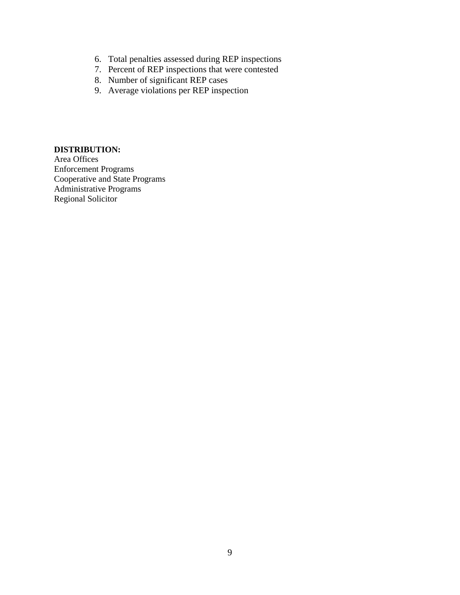- 6. Total penalties assessed during REP inspections
- 7. Percent of REP inspections that were contested
- 8. Number of significant REP cases
- 9. Average violations per REP inspection

#### **DISTRIBUTION:**

Area Offices Enforcement Programs Cooperative and State Programs Administrative Programs Regional Solicitor